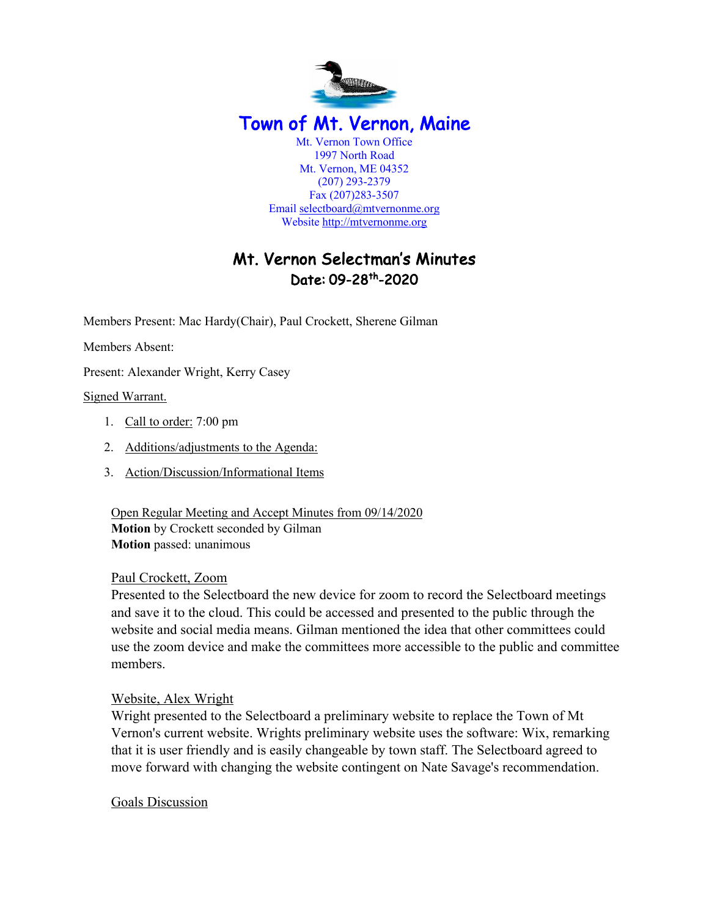

# Mt. Vernon Selectman's Minutes Date: 09-28th-2020

Members Present: Mac Hardy(Chair), Paul Crockett, Sherene Gilman

Members Absent:

Present: Alexander Wright, Kerry Casey

### Signed Warrant.

- 1. Call to order: 7:00 pm
- 2. Additions/adjustments to the Agenda:
- 3. Action/Discussion/Informational Items

Open Regular Meeting and Accept Minutes from 09/14/2020 **Motion** by Crockett seconded by Gilman **Motion** passed: unanimous

## Paul Crockett, Zoom

Presented to the Selectboard the new device for zoom to record the Selectboard meetings and save it to the cloud. This could be accessed and presented to the public through the website and social media means. Gilman mentioned the idea that other committees could use the zoom device and make the committees more accessible to the public and committee members.

## Website, Alex Wright

Wright presented to the Selectboard a preliminary website to replace the Town of Mt Vernon's current website. Wrights preliminary website uses the software: Wix, remarking that it is user friendly and is easily changeable by town staff. The Selectboard agreed to move forward with changing the website contingent on Nate Savage's recommendation.

## Goals Discussion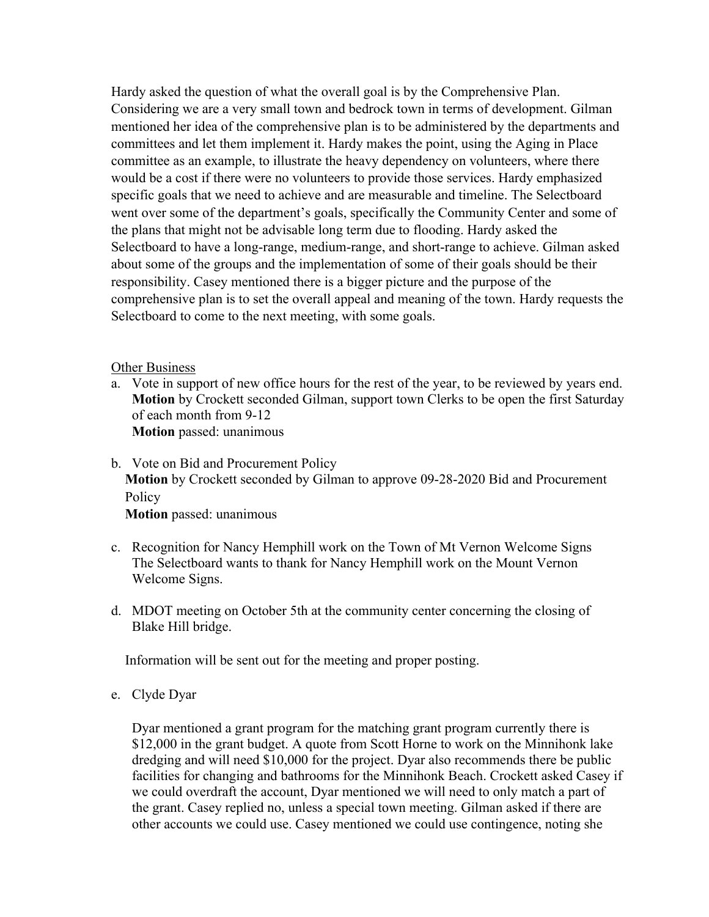Hardy asked the question of what the overall goal is by the Comprehensive Plan. Considering we are a very small town and bedrock town in terms of development. Gilman mentioned her idea of the comprehensive plan is to be administered by the departments and committees and let them implement it. Hardy makes the point, using the Aging in Place committee as an example, to illustrate the heavy dependency on volunteers, where there would be a cost if there were no volunteers to provide those services. Hardy emphasized specific goals that we need to achieve and are measurable and timeline. The Selectboard went over some of the department's goals, specifically the Community Center and some of the plans that might not be advisable long term due to flooding. Hardy asked the Selectboard to have a long-range, medium-range, and short-range to achieve. Gilman asked about some of the groups and the implementation of some of their goals should be their responsibility. Casey mentioned there is a bigger picture and the purpose of the comprehensive plan is to set the overall appeal and meaning of the town. Hardy requests the Selectboard to come to the next meeting, with some goals.

## Other Business

- a. Vote in support of new office hours for the rest of the year, to be reviewed by years end. **Motion** by Crockett seconded Gilman, support town Clerks to be open the first Saturday of each month from 9-12 **Motion** passed: unanimous
- b. Vote on Bid and Procurement Policy **Motion** by Crockett seconded by Gilman to approve 09-28-2020 Bid and Procurement **Policy Motion** passed: unanimous
- c. Recognition for Nancy Hemphill work on the Town of Mt Vernon Welcome Signs The Selectboard wants to thank for Nancy Hemphill work on the Mount Vernon Welcome Signs.
- d. MDOT meeting on October 5th at the community center concerning the closing of Blake Hill bridge.

Information will be sent out for the meeting and proper posting.

e. Clyde Dyar

Dyar mentioned a grant program for the matching grant program currently there is \$12,000 in the grant budget. A quote from Scott Horne to work on the Minnihonk lake dredging and will need \$10,000 for the project. Dyar also recommends there be public facilities for changing and bathrooms for the Minnihonk Beach. Crockett asked Casey if we could overdraft the account, Dyar mentioned we will need to only match a part of the grant. Casey replied no, unless a special town meeting. Gilman asked if there are other accounts we could use. Casey mentioned we could use contingence, noting she